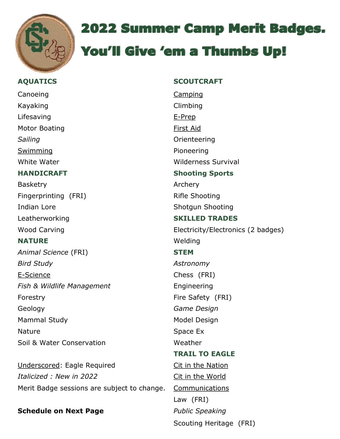

# 2022 Summer Camp Merit Badges.

## You'll Give 'em a Thumbs Up!

### **AQUATICS SCOUTCRAFT** Canoeing Camping Camping Kayaking **Climbing** Lifesaving E-Prep Motor Boating The Contract of the Contract of Tirst Aid **Sailing Community Community** Sailing Community Community Community Community Community Community Community Community Community Community Community Community Community Community Community Community Community Community Comm Swimming **Pioneering** White Water **Wilderness** Survival **HANDICRAFT Shooting Sports** Basketry **Archery** Fingerprinting (FRI) Rifle Shooting Indian Lore Shotgun Shooting Leatherworking **SKILLED TRADES NATURE** Welding *Animal Science* (FRI) **STEM** *Bird Study Astronomy*  E-Science Chess (FRI) **Fish & Wildlife Management Engineering** Forestry **Fire Safety** (FRI) Geology *Game Design*  Mammal Study Mammal Study Model Design Nature Space Ex Soil & Water Conservation Neather

Underscored: Eagle Required Cit in the Nation *Italicized : New in 2022* Cit in the World Merit Badge sessions are subject to change. Communications

#### **Schedule on Next Page** *Public Speaking*

Wood Carving **Electricity/Electronics (2 badges) TRAIL TO EAGLE**

Scouting Heritage (FRI)

Law (FRI)